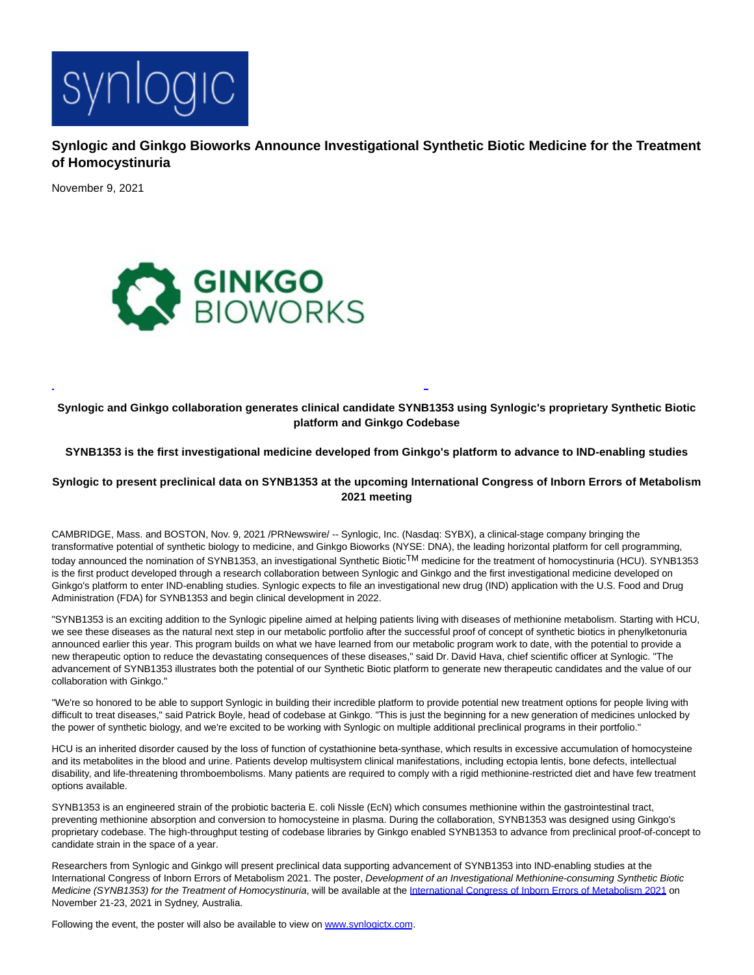

**Synlogic and Ginkgo Bioworks Announce Investigational Synthetic Biotic Medicine for the Treatment of Homocystinuria**

November 9, 2021



**Synlogic and Ginkgo collaboration generates clinical candidate SYNB1353 using Synlogic's proprietary Synthetic Biotic platform and Ginkgo Codebase**

L

**SYNB1353 is the first investigational medicine developed from Ginkgo's platform to advance to IND-enabling studies**

**Synlogic to present preclinical data on SYNB1353 at the upcoming International Congress of Inborn Errors of Metabolism 2021 meeting**

CAMBRIDGE, Mass. and BOSTON, Nov. 9, 2021 /PRNewswire/ -- Synlogic, Inc. (Nasdaq: SYBX), a clinical-stage company bringing the transformative potential of synthetic biology to medicine, and Ginkgo Bioworks (NYSE: DNA), the leading horizontal platform for cell programming, today announced the nomination of SYNB1353, an investigational Synthetic Biotic<sup>TM</sup> medicine for the treatment of homocystinuria (HCU). SYNB1353 is the first product developed through a research collaboration between Synlogic and Ginkgo and the first investigational medicine developed on Ginkgo's platform to enter IND-enabling studies. Synlogic expects to file an investigational new drug (IND) application with the U.S. Food and Drug Administration (FDA) for SYNB1353 and begin clinical development in 2022.

"SYNB1353 is an exciting addition to the Synlogic pipeline aimed at helping patients living with diseases of methionine metabolism. Starting with HCU, we see these diseases as the natural next step in our metabolic portfolio after the successful proof of concept of synthetic biotics in phenylketonuria announced earlier this year. This program builds on what we have learned from our metabolic program work to date, with the potential to provide a new therapeutic option to reduce the devastating consequences of these diseases," said Dr. David Hava, chief scientific officer at Synlogic. "The advancement of SYNB1353 illustrates both the potential of our Synthetic Biotic platform to generate new therapeutic candidates and the value of our collaboration with Ginkgo."

"We're so honored to be able to support Synlogic in building their incredible platform to provide potential new treatment options for people living with difficult to treat diseases," said Patrick Boyle, head of codebase at Ginkgo. "This is just the beginning for a new generation of medicines unlocked by the power of synthetic biology, and we're excited to be working with Synlogic on multiple additional preclinical programs in their portfolio."

HCU is an inherited disorder caused by the loss of function of cystathionine beta-synthase, which results in excessive accumulation of homocysteine and its metabolites in the blood and urine. Patients develop multisystem clinical manifestations, including ectopia lentis, bone defects, intellectual disability, and life-threatening thromboembolisms. Many patients are required to comply with a rigid methionine-restricted diet and have few treatment options available.

SYNB1353 is an engineered strain of the probiotic bacteria E. coli Nissle (EcN) which consumes methionine within the gastrointestinal tract, preventing methionine absorption and conversion to homocysteine in plasma. During the collaboration, SYNB1353 was designed using Ginkgo's proprietary codebase. The high-throughput testing of codebase libraries by Ginkgo enabled SYNB1353 to advance from preclinical proof-of-concept to candidate strain in the space of a year.

Researchers from Synlogic and Ginkgo will present preclinical data supporting advancement of SYNB1353 into IND-enabling studies at the International Congress of Inborn Errors of Metabolism 2021. The poster, Development of an Investigational Methionine-consuming Synthetic Biotic Medicine (SYNB1353) for the Treatment of Homocystinuria, will be available at the [International Congress of Inborn Errors of Metabolism 2021 o](https://c212.net/c/link/?t=0&l=en&o=3352400-1&h=694541061&u=https%3A%2F%2Fwww.iciem2021.com.au%2F&a=International+Congress+of+Inborn+Errors+of+Metabolism+2021)n November 21-23, 2021 in Sydney, Australia.

Following the event, the poster will also be available to view on [www.synlogictx.com.](https://c212.net/c/link/?t=0&l=en&o=3352400-1&h=3210923306&u=http%3A%2F%2Fwww.synlogictx.com%2F&a=www.synlogictx.com)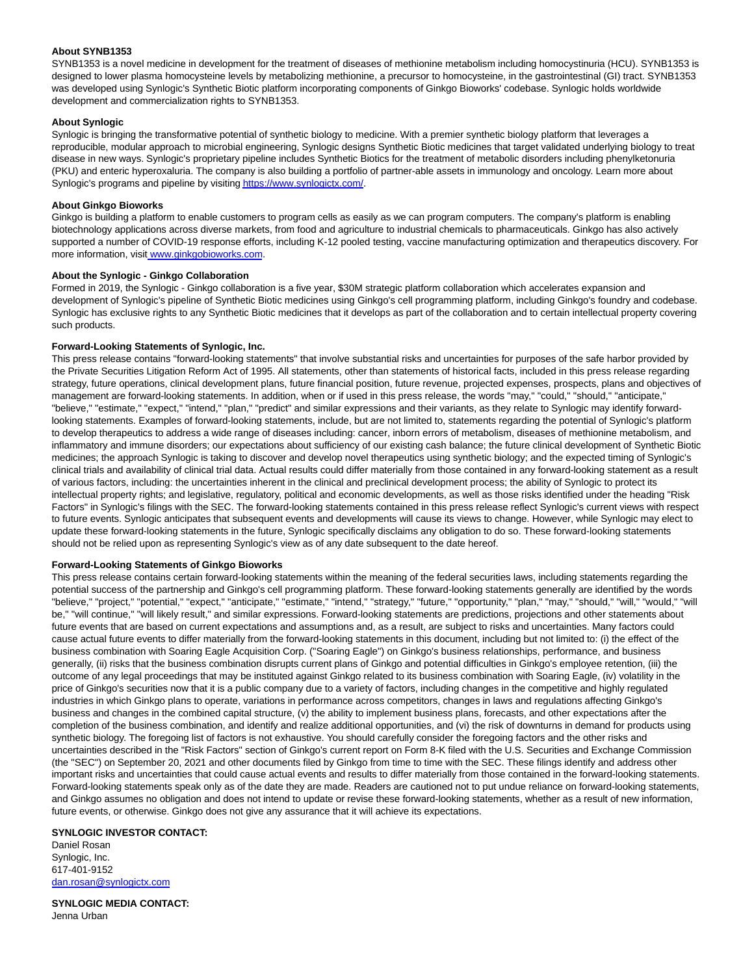## **About SYNB1353**

SYNB1353 is a novel medicine in development for the treatment of diseases of methionine metabolism including homocystinuria (HCU). SYNB1353 is designed to lower plasma homocysteine levels by metabolizing methionine, a precursor to homocysteine, in the gastrointestinal (GI) tract. SYNB1353 was developed using Synlogic's Synthetic Biotic platform incorporating components of Ginkgo Bioworks' codebase. Synlogic holds worldwide development and commercialization rights to SYNB1353.

## **About Synlogic**

Synlogic is bringing the transformative potential of synthetic biology to medicine. With a premier synthetic biology platform that leverages a reproducible, modular approach to microbial engineering, Synlogic designs Synthetic Biotic medicines that target validated underlying biology to treat disease in new ways. Synlogic's proprietary pipeline includes Synthetic Biotics for the treatment of metabolic disorders including phenylketonuria (PKU) and enteric hyperoxaluria. The company is also building a portfolio of partner-able assets in immunology and oncology. Learn more about Synlogic's programs and pipeline by visitin[g https://www.synlogictx.com/.](https://c212.net/c/link/?t=0&l=en&o=3352400-1&h=2170601427&u=https%3A%2F%2Fwww.synlogictx.com%2F&a=https%3A%2F%2Fwww.synlogictx.com%2F)

## **About Ginkgo Bioworks**

Ginkgo is building a platform to enable customers to program cells as easily as we can program computers. The company's platform is enabling biotechnology applications across diverse markets, from food and agriculture to industrial chemicals to pharmaceuticals. Ginkgo has also actively supported a number of COVID-19 response efforts, including K-12 pooled testing, vaccine manufacturing optimization and therapeutics discovery. For more information, visi[t www.ginkgobioworks.com.](https://c212.net/c/link/?t=0&l=en&o=3352400-1&h=3528176566&u=http%3A%2F%2Fwww.ginkgobioworks.com%2F&a=%C2%A0www.ginkgobioworks.com)

# **About the Synlogic - Ginkgo Collaboration**

Formed in 2019, the Synlogic - Ginkgo collaboration is a five year, \$30M strategic platform collaboration which accelerates expansion and development of Synlogic's pipeline of Synthetic Biotic medicines using Ginkgo's cell programming platform, including Ginkgo's foundry and codebase. Synlogic has exclusive rights to any Synthetic Biotic medicines that it develops as part of the collaboration and to certain intellectual property covering such products.

# **Forward-Looking Statements of Synlogic, Inc.**

This press release contains "forward-looking statements" that involve substantial risks and uncertainties for purposes of the safe harbor provided by the Private Securities Litigation Reform Act of 1995. All statements, other than statements of historical facts, included in this press release regarding strategy, future operations, clinical development plans, future financial position, future revenue, projected expenses, prospects, plans and objectives of management are forward-looking statements. In addition, when or if used in this press release, the words "may," "could," "should," "anticipate," "believe," "estimate," "expect," "intend," "plan," "predict" and similar expressions and their variants, as they relate to Synlogic may identify forwardlooking statements. Examples of forward-looking statements, include, but are not limited to, statements regarding the potential of Synlogic's platform to develop therapeutics to address a wide range of diseases including: cancer, inborn errors of metabolism, diseases of methionine metabolism, and inflammatory and immune disorders; our expectations about sufficiency of our existing cash balance; the future clinical development of Synthetic Biotic medicines; the approach Synlogic is taking to discover and develop novel therapeutics using synthetic biology; and the expected timing of Synlogic's clinical trials and availability of clinical trial data. Actual results could differ materially from those contained in any forward-looking statement as a result of various factors, including: the uncertainties inherent in the clinical and preclinical development process; the ability of Synlogic to protect its intellectual property rights; and legislative, regulatory, political and economic developments, as well as those risks identified under the heading "Risk Factors" in Synlogic's filings with the SEC. The forward-looking statements contained in this press release reflect Synlogic's current views with respect to future events. Synlogic anticipates that subsequent events and developments will cause its views to change. However, while Synlogic may elect to update these forward-looking statements in the future, Synlogic specifically disclaims any obligation to do so. These forward-looking statements should not be relied upon as representing Synlogic's view as of any date subsequent to the date hereof.

#### **Forward-Looking Statements of Ginkgo Bioworks**

This press release contains certain forward-looking statements within the meaning of the federal securities laws, including statements regarding the potential success of the partnership and Ginkgo's cell programming platform. These forward-looking statements generally are identified by the words "believe," "project," "potential," "expect," "anticipate," "estimate," "intend," "strategy," "future," "opportunity," "plan," "may," "should," "will," "would," "will be," "will continue," "will likely result," and similar expressions. Forward-looking statements are predictions, projections and other statements about future events that are based on current expectations and assumptions and, as a result, are subject to risks and uncertainties. Many factors could cause actual future events to differ materially from the forward-looking statements in this document, including but not limited to: (i) the effect of the business combination with Soaring Eagle Acquisition Corp. ("Soaring Eagle") on Ginkgo's business relationships, performance, and business generally, (ii) risks that the business combination disrupts current plans of Ginkgo and potential difficulties in Ginkgo's employee retention, (iii) the outcome of any legal proceedings that may be instituted against Ginkgo related to its business combination with Soaring Eagle, (iv) volatility in the price of Ginkgo's securities now that it is a public company due to a variety of factors, including changes in the competitive and highly regulated industries in which Ginkgo plans to operate, variations in performance across competitors, changes in laws and regulations affecting Ginkgo's business and changes in the combined capital structure, (v) the ability to implement business plans, forecasts, and other expectations after the completion of the business combination, and identify and realize additional opportunities, and (vi) the risk of downturns in demand for products using synthetic biology. The foregoing list of factors is not exhaustive. You should carefully consider the foregoing factors and the other risks and uncertainties described in the "Risk Factors" section of Ginkgo's current report on Form 8-K filed with the U.S. Securities and Exchange Commission (the "SEC") on September 20, 2021 and other documents filed by Ginkgo from time to time with the SEC. These filings identify and address other important risks and uncertainties that could cause actual events and results to differ materially from those contained in the forward-looking statements. Forward-looking statements speak only as of the date they are made. Readers are cautioned not to put undue reliance on forward-looking statements, and Ginkgo assumes no obligation and does not intend to update or revise these forward-looking statements, whether as a result of new information, future events, or otherwise. Ginkgo does not give any assurance that it will achieve its expectations.

#### **SYNLOGIC INVESTOR CONTACT:**

Daniel Rosan Synlogic, Inc. 617-401-9152 [dan.rosan@synlogictx.com](mailto:dan.rosan@synlogictx.com)

**SYNLOGIC MEDIA CONTACT:** Jenna Urban